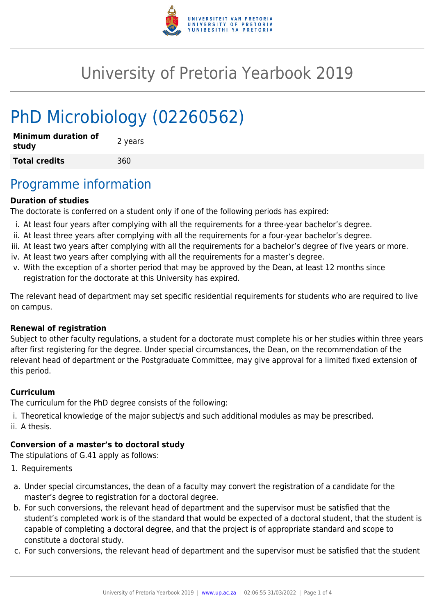

## University of Pretoria Yearbook 2019

# PhD Microbiology (02260562)

| <b>Minimum duration of</b><br>study | 2 years |
|-------------------------------------|---------|
| <b>Total credits</b>                | 360     |

### Programme information

#### **Duration of studies**

The doctorate is conferred on a student only if one of the following periods has expired:

- i. At least four years after complying with all the requirements for a three-year bachelor's degree.
- ii. At least three years after complying with all the requirements for a four-year bachelor's degree.
- iii. At least two years after complying with all the requirements for a bachelor's degree of five years or more.
- iv. At least two years after complying with all the requirements for a master's degree.
- v. With the exception of a shorter period that may be approved by the Dean, at least 12 months since registration for the doctorate at this University has expired.

The relevant head of department may set specific residential requirements for students who are required to live on campus.

#### **Renewal of registration**

Subject to other faculty regulations, a student for a doctorate must complete his or her studies within three years after first registering for the degree. Under special circumstances, the Dean, on the recommendation of the relevant head of department or the Postgraduate Committee, may give approval for a limited fixed extension of this period.

#### **Curriculum**

The curriculum for the PhD degree consists of the following:

- i. Theoretical knowledge of the major subject/s and such additional modules as may be prescribed.
- ii. A thesis.

#### **Conversion of a master's to doctoral study**

The stipulations of G.41 apply as follows:

- 1. Requirements
- a. Under special circumstances, the dean of a faculty may convert the registration of a candidate for the master's degree to registration for a doctoral degree.
- b. For such conversions, the relevant head of department and the supervisor must be satisfied that the student's completed work is of the standard that would be expected of a doctoral student, that the student is capable of completing a doctoral degree, and that the project is of appropriate standard and scope to constitute a doctoral study.
- c. For such conversions, the relevant head of department and the supervisor must be satisfied that the student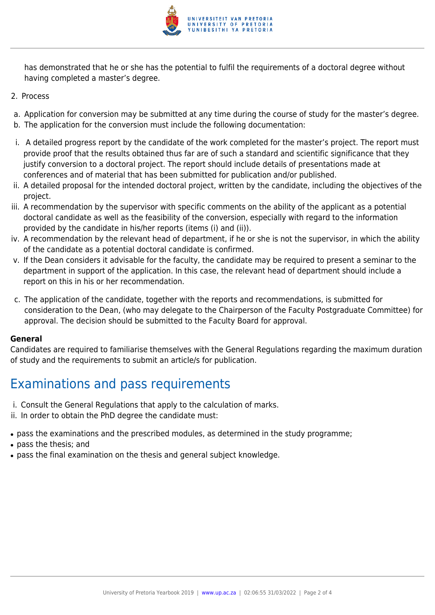

has demonstrated that he or she has the potential to fulfil the requirements of a doctoral degree without having completed a master's degree.

- 2. Process
- a. Application for conversion may be submitted at any time during the course of study for the master's degree.
- b. The application for the conversion must include the following documentation:
- i. A detailed progress report by the candidate of the work completed for the master's project. The report must provide proof that the results obtained thus far are of such a standard and scientific significance that they justify conversion to a doctoral project. The report should include details of presentations made at conferences and of material that has been submitted for publication and/or published.
- ii. A detailed proposal for the intended doctoral project, written by the candidate, including the objectives of the project.
- iii. A recommendation by the supervisor with specific comments on the ability of the applicant as a potential doctoral candidate as well as the feasibility of the conversion, especially with regard to the information provided by the candidate in his/her reports (items (i) and (ii)).
- iv. A recommendation by the relevant head of department, if he or she is not the supervisor, in which the ability of the candidate as a potential doctoral candidate is confirmed.
- v. If the Dean considers it advisable for the faculty, the candidate may be required to present a seminar to the department in support of the application. In this case, the relevant head of department should include a report on this in his or her recommendation.
- c. The application of the candidate, together with the reports and recommendations, is submitted for consideration to the Dean, (who may delegate to the Chairperson of the Faculty Postgraduate Committee) for approval. The decision should be submitted to the Faculty Board for approval.

#### **General**

Candidates are required to familiarise themselves with the General Regulations regarding the maximum duration of study and the requirements to submit an article/s for publication.

### Examinations and pass requirements

- i. Consult the General Regulations that apply to the calculation of marks.
- ii. In order to obtain the PhD degree the candidate must:
- pass the examinations and the prescribed modules, as determined in the study programme;
- pass the thesis; and
- pass the final examination on the thesis and general subject knowledge.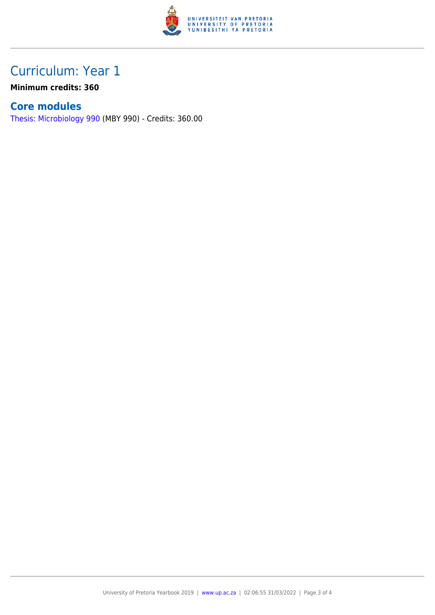

### Curriculum: Year 1

**Minimum credits: 360**

#### **Core modules**

[Thesis: Microbiology 990](https://www.up.ac.za/parents/yearbooks/2019/modules/view/MBY 990) (MBY 990) - Credits: 360.00